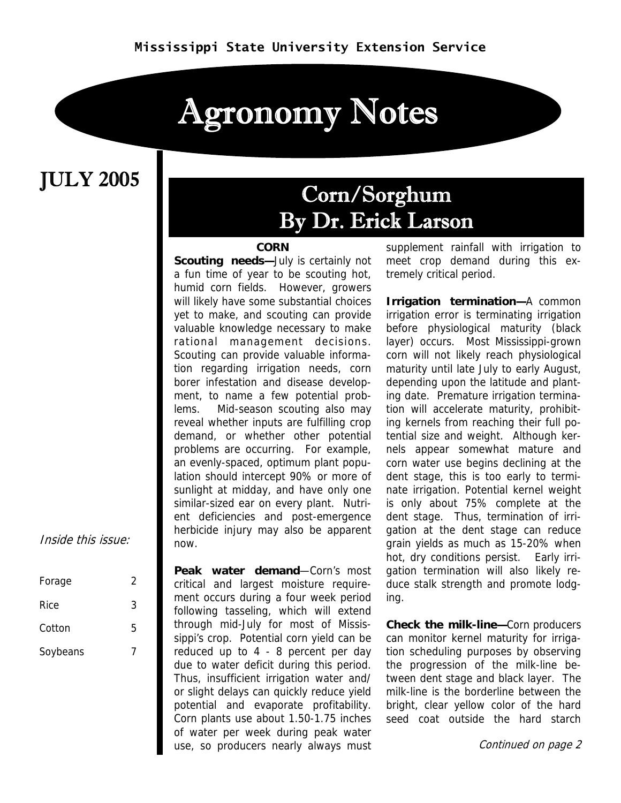# Agronomy Notes

### JULY 2005

### Corn/Sorghum By Dr. Erick Larson

#### **CORN**

**Scouting needs-July is certainly not** a fun time of year to be scouting hot, humid corn fields. However, growers will likely have some substantial choices yet to make, and scouting can provide valuable knowledge necessary to make rational management decisions. Scouting can provide valuable information regarding irrigation needs, corn borer infestation and disease development, to name a few potential problems. Mid-season scouting also may reveal whether inputs are fulfilling crop demand, or whether other potential problems are occurring. For example, an evenly-spaced, optimum plant population should intercept 90% or more of sunlight at midday, and have only one similar-sized ear on every plant. Nutrient deficiencies and post-emergence herbicide injury may also be apparent now.

**Peak water demand**—Corn's most critical and largest moisture requirement occurs during a four week period following tasseling, which will extend through mid-July for most of Mississippi's crop. Potential corn yield can be reduced up to 4 - 8 percent per day due to water deficit during this period. Thus, insufficient irrigation water and/ or slight delays can quickly reduce yield potential and evaporate profitability. Corn plants use about 1.50-1.75 inches of water per week during peak water use, so producers nearly always must

supplement rainfall with irrigation to meet crop demand during this extremely critical period.

**Irrigation termination—**A common irrigation error is terminating irrigation before physiological maturity (black layer) occurs. Most Mississippi-grown corn will not likely reach physiological maturity until late July to early August, depending upon the latitude and planting date. Premature irrigation termination will accelerate maturity, prohibiting kernels from reaching their full potential size and weight. Although kernels appear somewhat mature and corn water use begins declining at the dent stage, this is too early to terminate irrigation. Potential kernel weight is only about 75% complete at the dent stage. Thus, termination of irrigation at the dent stage can reduce grain yields as much as 15-20% when hot, dry conditions persist. Early irrigation termination will also likely reduce stalk strength and promote lodging.

**Check the milk-line—**Corn producers can monitor kernel maturity for irrigation scheduling purposes by observing the progression of the milk-line between dent stage and black layer. The milk-line is the borderline between the bright, clear yellow color of the hard seed coat outside the hard starch

Continued on page 2

Inside this issue:

| Forage   | 2 |
|----------|---|
| Rice     | 3 |
| Cotton   | 5 |
| Soybeans |   |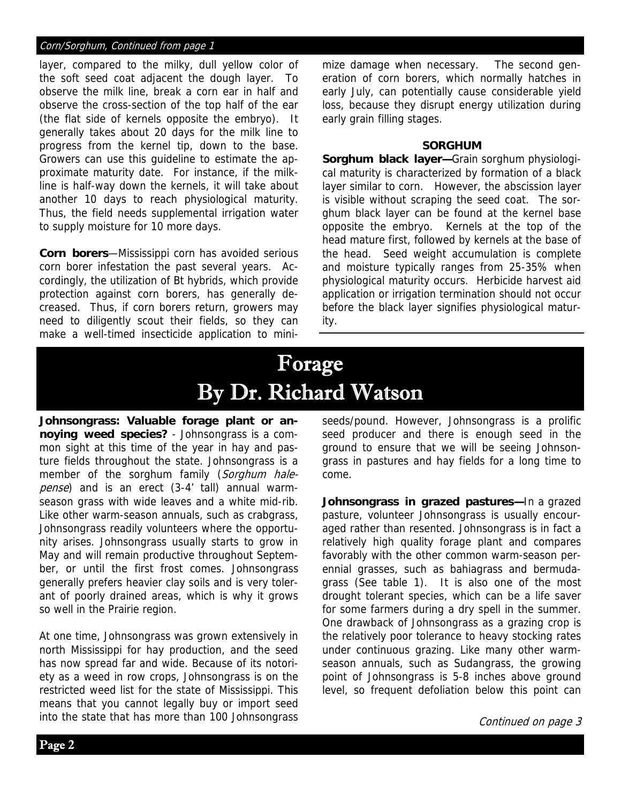#### Corn/Sorghum, Continued from page 1

layer, compared to the milky, dull yellow color of the soft seed coat adjacent the dough layer. To observe the milk line, break a corn ear in half and observe the cross-section of the top half of the ear (the flat side of kernels opposite the embryo). It generally takes about 20 days for the milk line to progress from the kernel tip, down to the base. Growers can use this guideline to estimate the approximate maturity date. For instance, if the milkline is half-way down the kernels, it will take about another 10 days to reach physiological maturity. Thus, the field needs supplemental irrigation water to supply moisture for 10 more days.

**Corn borers**—Mississippi corn has avoided serious corn borer infestation the past several years. Accordingly, the utilization of Bt hybrids, which provide protection against corn borers, has generally decreased. Thus, if corn borers return, growers may need to diligently scout their fields, so they can make a well-timed insecticide application to minimize damage when necessary. The second generation of corn borers, which normally hatches in early July, can potentially cause considerable yield loss, because they disrupt energy utilization during early grain filling stages.

#### **SORGHUM**

**Sorghum black layer—**Grain sorghum physiological maturity is characterized by formation of a black layer similar to corn. However, the abscission layer is visible without scraping the seed coat. The sorghum black layer can be found at the kernel base opposite the embryo. Kernels at the top of the head mature first, followed by kernels at the base of the head. Seed weight accumulation is complete and moisture typically ranges from 25-35% when physiological maturity occurs. Herbicide harvest aid application or irrigation termination should not occur before the black layer signifies physiological maturity.

## Forage By Dr. Richard Watson

**Johnsongrass: Valuable forage plant or annoying weed species?** - Johnsongrass is a common sight at this time of the year in hay and pasture fields throughout the state. Johnsongrass is a member of the sorghum family (Sorghum halepense) and is an erect (3-4' tall) annual warmseason grass with wide leaves and a white mid-rib. Like other warm-season annuals, such as crabgrass, Johnsongrass readily volunteers where the opportunity arises. Johnsongrass usually starts to grow in May and will remain productive throughout September, or until the first frost comes. Johnsongrass generally prefers heavier clay soils and is very tolerant of poorly drained areas, which is why it grows so well in the Prairie region.

At one time, Johnsongrass was grown extensively in north Mississippi for hay production, and the seed has now spread far and wide. Because of its notoriety as a weed in row crops, Johnsongrass is on the restricted weed list for the state of Mississippi. This means that you cannot legally buy or import seed into the state that has more than 100 Johnsongrass seeds/pound. However, Johnsongrass is a prolific seed producer and there is enough seed in the ground to ensure that we will be seeing Johnsongrass in pastures and hay fields for a long time to come.

**Johnsongrass in grazed pastures—**In a grazed pasture, volunteer Johnsongrass is usually encouraged rather than resented. Johnsongrass is in fact a relatively high quality forage plant and compares favorably with the other common warm-season perennial grasses, such as bahiagrass and bermudagrass (See table 1). It is also one of the most drought tolerant species, which can be a life saver for some farmers during a dry spell in the summer. One drawback of Johnsongrass as a grazing crop is the relatively poor tolerance to heavy stocking rates under continuous grazing. Like many other warmseason annuals, such as Sudangrass, the growing point of Johnsongrass is 5-8 inches above ground level, so frequent defoliation below this point can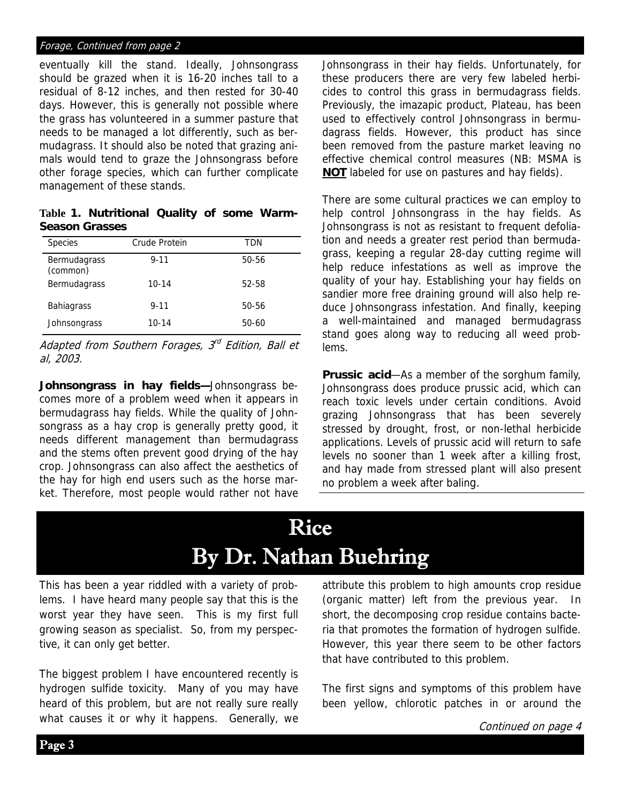#### Forage, Continued from page 2

eventually kill the stand. Ideally, Johnsongrass should be grazed when it is 16-20 inches tall to a residual of 8-12 inches, and then rested for 30-40 days. However, this is generally not possible where the grass has volunteered in a summer pasture that needs to be managed a lot differently, such as bermudagrass. It should also be noted that grazing animals would tend to graze the Johnsongrass before other forage species, which can further complicate management of these stands.

**Table 1. Nutritional Quality of some Warm-Season Grasses** 

| <b>Species</b>           | Crude Protein | TDN   |
|--------------------------|---------------|-------|
| Bermudagrass<br>(common) | $9 - 11$      | 50-56 |
| Bermudagrass             | $10 - 14$     | 52-58 |
| <b>Bahiagrass</b>        | $9 - 11$      | 50-56 |
| Johnsongrass             | $10 - 14$     | 50-60 |

Adapted from Southern Forages,  $3<sup>d</sup>$  Edition, Ball et al, 2003.

**Johnsongrass in hay fields—**Johnsongrass becomes more of a problem weed when it appears in bermudagrass hay fields. While the quality of Johnsongrass as a hay crop is generally pretty good, it needs different management than bermudagrass and the stems often prevent good drying of the hay crop. Johnsongrass can also affect the aesthetics of the hay for high end users such as the horse market. Therefore, most people would rather not have

Johnsongrass in their hay fields. Unfortunately, for these producers there are very few labeled herbicides to control this grass in bermudagrass fields. Previously, the imazapic product, Plateau, has been used to effectively control Johnsongrass in bermudagrass fields. However, this product has since been removed from the pasture market leaving no effective chemical control measures (NB: MSMA is **NOT** labeled for use on pastures and hay fields).

There are some cultural practices we can employ to help control Johnsongrass in the hay fields. As Johnsongrass is not as resistant to frequent defoliation and needs a greater rest period than bermudagrass, keeping a regular 28-day cutting regime will help reduce infestations as well as improve the quality of your hay. Establishing your hay fields on sandier more free draining ground will also help reduce Johnsongrass infestation. And finally, keeping a well-maintained and managed bermudagrass stand goes along way to reducing all weed problems.

**Prussic acid**—As a member of the sorghum family, Johnsongrass does produce prussic acid, which can reach toxic levels under certain conditions. Avoid grazing Johnsongrass that has been severely stressed by drought, frost, or non-lethal herbicide applications. Levels of prussic acid will return to safe levels no sooner than 1 week after a killing frost, and hay made from stressed plant will also present no problem a week after baling.

## Rice By Dr. Nathan Buehring

This has been a year riddled with a variety of problems. I have heard many people say that this is the worst year they have seen. This is my first full growing season as specialist. So, from my perspective, it can only get better.

The biggest problem I have encountered recently is hydrogen sulfide toxicity. Many of you may have heard of this problem, but are not really sure really what causes it or why it happens. Generally, we attribute this problem to high amounts crop residue (organic matter) left from the previous year. In short, the decomposing crop residue contains bacteria that promotes the formation of hydrogen sulfide. However, this year there seem to be other factors that have contributed to this problem.

The first signs and symptoms of this problem have been yellow, chlorotic patches in or around the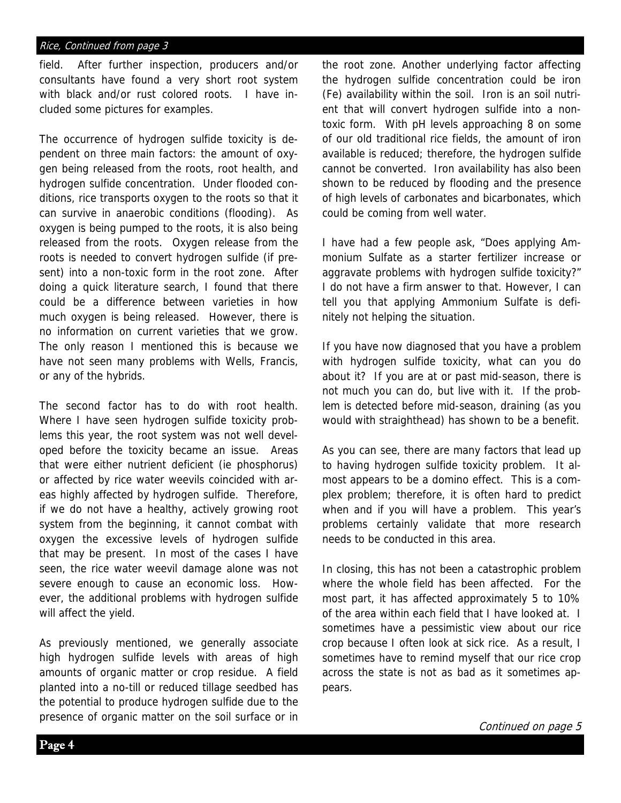#### Rice, Continued from page 3

field. After further inspection, producers and/or consultants have found a very short root system with black and/or rust colored roots. I have included some pictures for examples.

The occurrence of hydrogen sulfide toxicity is dependent on three main factors: the amount of oxygen being released from the roots, root health, and hydrogen sulfide concentration. Under flooded conditions, rice transports oxygen to the roots so that it can survive in anaerobic conditions (flooding). As oxygen is being pumped to the roots, it is also being released from the roots. Oxygen release from the roots is needed to convert hydrogen sulfide (if present) into a non-toxic form in the root zone. After doing a quick literature search, I found that there could be a difference between varieties in how much oxygen is being released. However, there is no information on current varieties that we grow. The only reason I mentioned this is because we have not seen many problems with Wells, Francis, or any of the hybrids.

The second factor has to do with root health. Where I have seen hydrogen sulfide toxicity problems this year, the root system was not well developed before the toxicity became an issue. Areas that were either nutrient deficient (ie phosphorus) or affected by rice water weevils coincided with areas highly affected by hydrogen sulfide. Therefore, if we do not have a healthy, actively growing root system from the beginning, it cannot combat with oxygen the excessive levels of hydrogen sulfide that may be present. In most of the cases I have seen, the rice water weevil damage alone was not severe enough to cause an economic loss. However, the additional problems with hydrogen sulfide will affect the yield.

As previously mentioned, we generally associate high hydrogen sulfide levels with areas of high amounts of organic matter or crop residue. A field planted into a no-till or reduced tillage seedbed has the potential to produce hydrogen sulfide due to the presence of organic matter on the soil surface or in the root zone. Another underlying factor affecting the hydrogen sulfide concentration could be iron (Fe) availability within the soil. Iron is an soil nutrient that will convert hydrogen sulfide into a nontoxic form. With pH levels approaching 8 on some of our old traditional rice fields, the amount of iron available is reduced; therefore, the hydrogen sulfide cannot be converted. Iron availability has also been shown to be reduced by flooding and the presence of high levels of carbonates and bicarbonates, which could be coming from well water.

I have had a few people ask, "Does applying Ammonium Sulfate as a starter fertilizer increase or aggravate problems with hydrogen sulfide toxicity?" I do not have a firm answer to that. However, I can tell you that applying Ammonium Sulfate is definitely not helping the situation.

If you have now diagnosed that you have a problem with hydrogen sulfide toxicity, what can you do about it? If you are at or past mid-season, there is not much you can do, but live with it. If the problem is detected before mid-season, draining (as you would with straighthead) has shown to be a benefit.

As you can see, there are many factors that lead up to having hydrogen sulfide toxicity problem. It almost appears to be a domino effect. This is a complex problem; therefore, it is often hard to predict when and if you will have a problem. This year's problems certainly validate that more research needs to be conducted in this area.

In closing, this has not been a catastrophic problem where the whole field has been affected. For the most part, it has affected approximately 5 to 10% of the area within each field that I have looked at. I sometimes have a pessimistic view about our rice crop because I often look at sick rice. As a result, I sometimes have to remind myself that our rice crop across the state is not as bad as it sometimes appears.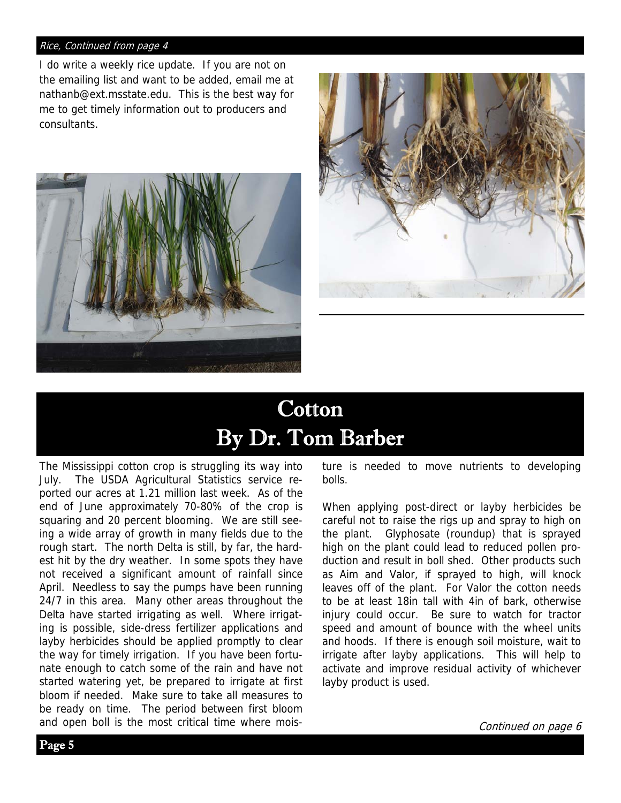#### Rice, Continued from page 4

I do write a weekly rice update. If you are not on the emailing list and want to be added, email me at nathanb@ext.msstate.edu. This is the best way for me to get timely information out to producers and consultants.





## **Cotton** By Dr. Tom Barber

The Mississippi cotton crop is struggling its way into July. The USDA Agricultural Statistics service reported our acres at 1.21 million last week. As of the end of June approximately 70-80% of the crop is squaring and 20 percent blooming. We are still seeing a wide array of growth in many fields due to the rough start. The north Delta is still, by far, the hardest hit by the dry weather. In some spots they have not received a significant amount of rainfall since April. Needless to say the pumps have been running 24/7 in this area. Many other areas throughout the Delta have started irrigating as well. Where irrigating is possible, side-dress fertilizer applications and layby herbicides should be applied promptly to clear the way for timely irrigation. If you have been fortunate enough to catch some of the rain and have not started watering yet, be prepared to irrigate at first bloom if needed. Make sure to take all measures to be ready on time. The period between first bloom and open boll is the most critical time where moisture is needed to move nutrients to developing bolls.

When applying post-direct or layby herbicides be careful not to raise the rigs up and spray to high on the plant. Glyphosate (roundup) that is sprayed high on the plant could lead to reduced pollen production and result in boll shed. Other products such as Aim and Valor, if sprayed to high, will knock leaves off of the plant. For Valor the cotton needs to be at least 18in tall with 4in of bark, otherwise injury could occur. Be sure to watch for tractor speed and amount of bounce with the wheel units and hoods. If there is enough soil moisture, wait to irrigate after layby applications. This will help to activate and improve residual activity of whichever layby product is used.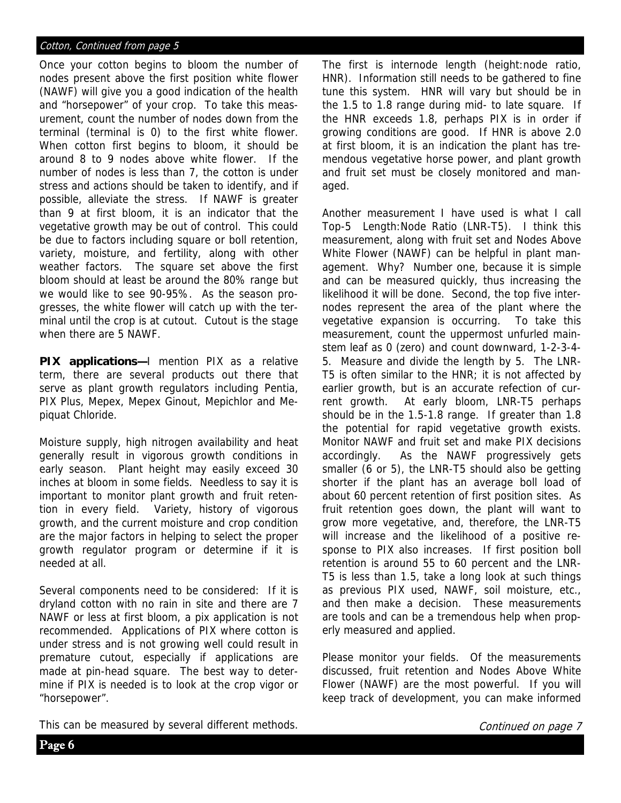#### Cotton, Continued from page 5

Once your cotton begins to bloom the number of nodes present above the first position white flower (NAWF) will give you a good indication of the health and "horsepower" of your crop. To take this measurement, count the number of nodes down from the terminal (terminal is 0) to the first white flower. When cotton first begins to bloom, it should be around 8 to 9 nodes above white flower. If the number of nodes is less than 7, the cotton is under stress and actions should be taken to identify, and if possible, alleviate the stress. If NAWF is greater than 9 at first bloom, it is an indicator that the vegetative growth may be out of control. This could be due to factors including square or boll retention, variety, moisture, and fertility, along with other weather factors. The square set above the first bloom should at least be around the 80% range but we would like to see 90-95%. As the season progresses, the white flower will catch up with the terminal until the crop is at cutout. Cutout is the stage when there are 5 NAWF.

**PIX applications—**I mention PIX as a relative term, there are several products out there that serve as plant growth regulators including Pentia, PIX Plus, Mepex, Mepex Ginout, Mepichlor and Mepiquat Chloride.

Moisture supply, high nitrogen availability and heat generally result in vigorous growth conditions in early season. Plant height may easily exceed 30 inches at bloom in some fields. Needless to say it is important to monitor plant growth and fruit retention in every field. Variety, history of vigorous growth, and the current moisture and crop condition are the major factors in helping to select the proper growth regulator program or determine if it is needed at all.

Several components need to be considered: If it is dryland cotton with no rain in site and there are 7 NAWF or less at first bloom, a pix application is not recommended. Applications of PIX where cotton is under stress and is not growing well could result in premature cutout, especially if applications are made at pin-head square. The best way to determine if PIX is needed is to look at the crop vigor or "horsepower".

The first is internode length (height:node ratio, HNR). Information still needs to be gathered to fine tune this system. HNR will vary but should be in the 1.5 to 1.8 range during mid- to late square. If the HNR exceeds 1.8, perhaps PIX is in order if growing conditions are good. If HNR is above 2.0 at first bloom, it is an indication the plant has tremendous vegetative horse power, and plant growth and fruit set must be closely monitored and managed.

Another measurement I have used is what I call Top-5 Length:Node Ratio (LNR-T5). I think this measurement, along with fruit set and Nodes Above White Flower (NAWF) can be helpful in plant management. Why? Number one, because it is simple and can be measured quickly, thus increasing the likelihood it will be done. Second, the top five internodes represent the area of the plant where the vegetative expansion is occurring. To take this measurement, count the uppermost unfurled mainstem leaf as 0 (zero) and count downward, 1-2-3-4- 5. Measure and divide the length by 5. The LNR-T5 is often similar to the HNR; it is not affected by earlier growth, but is an accurate refection of current growth. At early bloom, LNR-T5 perhaps should be in the 1.5-1.8 range. If greater than 1.8 the potential for rapid vegetative growth exists. Monitor NAWF and fruit set and make PIX decisions accordingly. As the NAWF progressively gets smaller (6 or 5), the LNR-T5 should also be getting shorter if the plant has an average boll load of about 60 percent retention of first position sites. As fruit retention goes down, the plant will want to grow more vegetative, and, therefore, the LNR-T5 will increase and the likelihood of a positive response to PIX also increases. If first position boll retention is around 55 to 60 percent and the LNR-T5 is less than 1.5, take a long look at such things as previous PIX used, NAWF, soil moisture, etc., and then make a decision. These measurements are tools and can be a tremendous help when properly measured and applied.

Please monitor your fields. Of the measurements discussed, fruit retention and Nodes Above White Flower (NAWF) are the most powerful. If you will keep track of development, you can make informed

This can be measured by several different methods.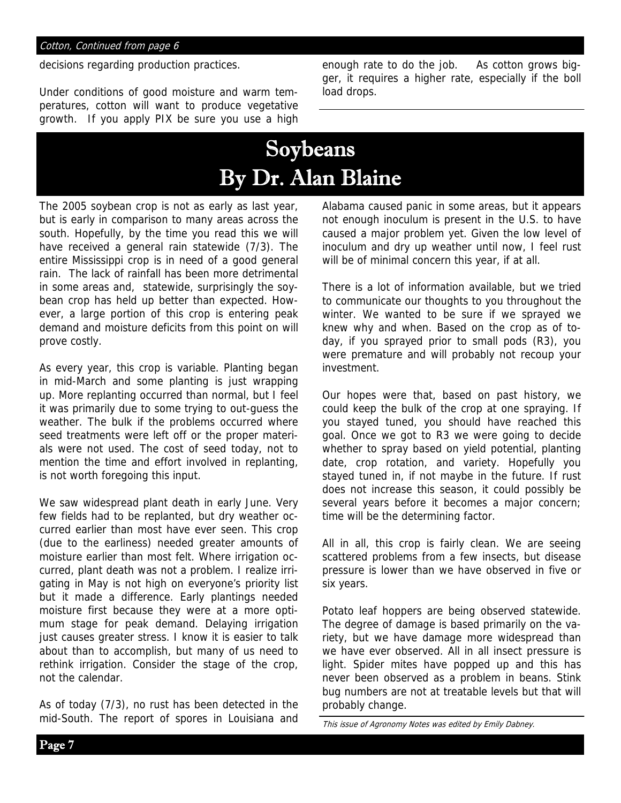decisions regarding production practices.

Under conditions of good moisture and warm temperatures, cotton will want to produce vegetative growth. If you apply PIX be sure you use a high

enough rate to do the job. As cotton grows bigger, it requires a higher rate, especially if the boll load drops.

# Soybeans By Dr. Alan Blaine

The 2005 soybean crop is not as early as last year, but is early in comparison to many areas across the south. Hopefully, by the time you read this we will have received a general rain statewide (7/3). The entire Mississippi crop is in need of a good general rain. The lack of rainfall has been more detrimental in some areas and, statewide, surprisingly the soybean crop has held up better than expected. However, a large portion of this crop is entering peak demand and moisture deficits from this point on will prove costly.

As every year, this crop is variable. Planting began in mid-March and some planting is just wrapping up. More replanting occurred than normal, but I feel it was primarily due to some trying to out-guess the weather. The bulk if the problems occurred where seed treatments were left off or the proper materials were not used. The cost of seed today, not to mention the time and effort involved in replanting, is not worth foregoing this input.

We saw widespread plant death in early June. Very few fields had to be replanted, but dry weather occurred earlier than most have ever seen. This crop (due to the earliness) needed greater amounts of moisture earlier than most felt. Where irrigation occurred, plant death was not a problem. I realize irrigating in May is not high on everyone's priority list but it made a difference. Early plantings needed moisture first because they were at a more optimum stage for peak demand. Delaying irrigation just causes greater stress. I know it is easier to talk about than to accomplish, but many of us need to rethink irrigation. Consider the stage of the crop, not the calendar.

As of today (7/3), no rust has been detected in the mid-South. The report of spores in Louisiana and Alabama caused panic in some areas, but it appears not enough inoculum is present in the U.S. to have caused a major problem yet. Given the low level of inoculum and dry up weather until now, I feel rust will be of minimal concern this year, if at all.

There is a lot of information available, but we tried to communicate our thoughts to you throughout the winter. We wanted to be sure if we sprayed we knew why and when. Based on the crop as of today, if you sprayed prior to small pods (R3), you were premature and will probably not recoup your investment.

Our hopes were that, based on past history, we could keep the bulk of the crop at one spraying. If you stayed tuned, you should have reached this goal. Once we got to R3 we were going to decide whether to spray based on yield potential, planting date, crop rotation, and variety. Hopefully you stayed tuned in, if not maybe in the future. If rust does not increase this season, it could possibly be several years before it becomes a major concern; time will be the determining factor.

All in all, this crop is fairly clean. We are seeing scattered problems from a few insects, but disease pressure is lower than we have observed in five or six years.

Potato leaf hoppers are being observed statewide. The degree of damage is based primarily on the variety, but we have damage more widespread than we have ever observed. All in all insect pressure is light. Spider mites have popped up and this has never been observed as a problem in beans. Stink bug numbers are not at treatable levels but that will probably change.

This issue of Agronomy Notes was edited by Emily Dabney.